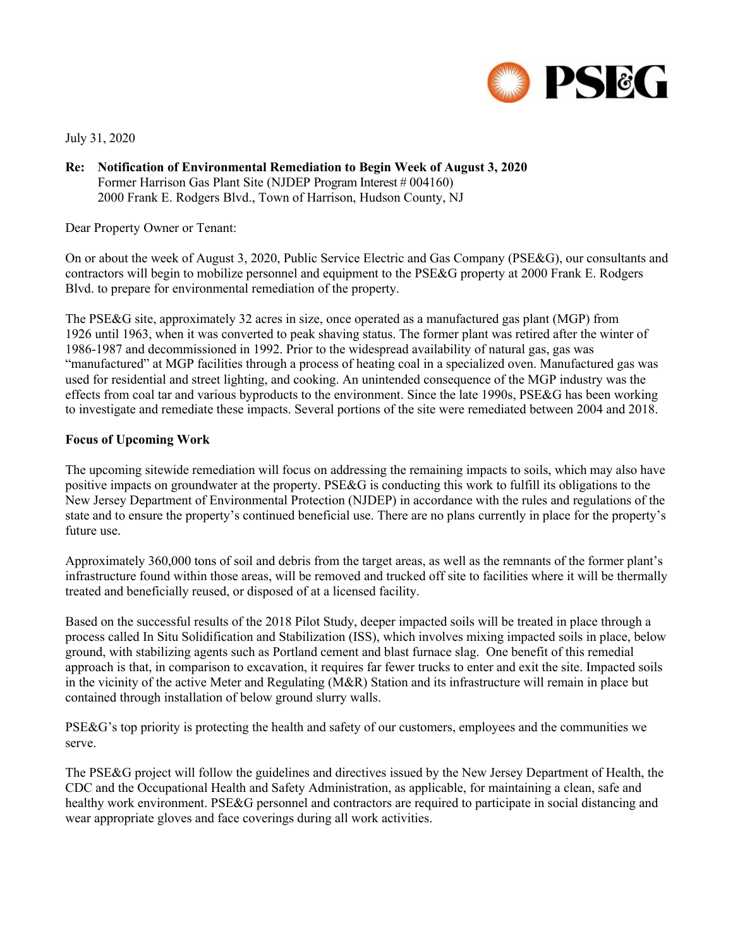

July 31, 2020

**Re: Notification of Environmental Remediation to Begin Week of August 3, 2020** Former Harrison Gas Plant Site (NJDEP Program Interest # 004160) 2000 Frank E. Rodgers Blvd., Town of Harrison, Hudson County, NJ

Dear Property Owner or Tenant:

On or about the week of August 3, 2020, Public Service Electric and Gas Company (PSE&G), our consultants and contractors will begin to mobilize personnel and equipment to the PSE&G property at 2000 Frank E. Rodgers Blvd. to prepare for environmental remediation of the property.

The PSE&G site, approximately 32 acres in size, once operated as a manufactured gas plant (MGP) from 1926 until 1963, when it was converted to peak shaving status. The former plant was retired after the winter of 1986-1987 and decommissioned in 1992. Prior to the widespread availability of natural gas, gas was "manufactured" at MGP facilities through a process of heating coal in a specialized oven. Manufactured gas was used for residential and street lighting, and cooking. An unintended consequence of the MGP industry was the effects from coal tar and various byproducts to the environment. Since the late 1990s, PSE&G has been working to investigate and remediate these impacts. Several portions of the site were remediated between 2004 and 2018.

## **Focus of Upcoming Work**

The upcoming sitewide remediation will focus on addressing the remaining impacts to soils, which may also have positive impacts on groundwater at the property. PSE&G is conducting this work to fulfill its obligations to the New Jersey Department of Environmental Protection (NJDEP) in accordance with the rules and regulations of the state and to ensure the property's continued beneficial use. There are no plans currently in place for the property's future use.

Approximately 360,000 tons of soil and debris from the target areas, as well as the remnants of the former plant's infrastructure found within those areas, will be removed and trucked off site to facilities where it will be thermally treated and beneficially reused, or disposed of at a licensed facility.

Based on the successful results of the 2018 Pilot Study, deeper impacted soils will be treated in place through a process called In Situ Solidification and Stabilization (ISS), which involves mixing impacted soils in place, below ground, with stabilizing agents such as Portland cement and blast furnace slag. One benefit of this remedial approach is that, in comparison to excavation, it requires far fewer trucks to enter and exit the site. Impacted soils in the vicinity of the active Meter and Regulating (M&R) Station and its infrastructure will remain in place but contained through installation of below ground slurry walls.

PSE&G's top priority is protecting the health and safety of our customers, employees and the communities we serve.

The PSE&G project will follow the guidelines and directives issued by the New Jersey Department of Health, the CDC and the Occupational Health and Safety Administration, as applicable, for maintaining a clean, safe and healthy work environment. PSE&G personnel and contractors are required to participate in social distancing and wear appropriate gloves and face coverings during all work activities.